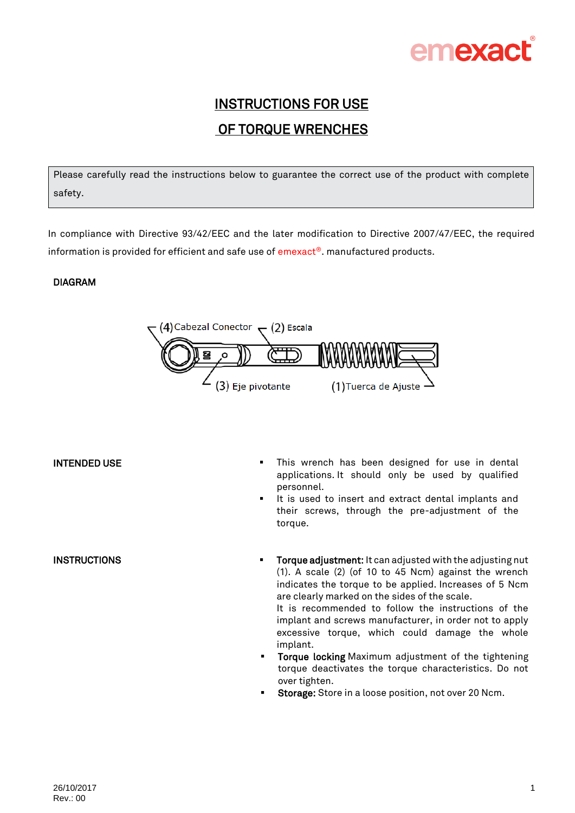

# INSTRUCTIONS FOR USE OF TORQUE WRENCHES

Please carefully read the instructions below to guarantee the correct use of the product with complete safety.

In compliance with Directive 93/42/EEC and the later modification to Directive 2007/47/EEC, the required information is provided for efficient and safe use of emexact®. manufactured products.

### DIAGRAM



**INSTRUCTIONS** 

- INTENDED USE **INTENDED** USE **This wrench has been designed for use in dental** applications. It should only be used by qualified personnel.
	- It is used to insert and extract dental implants and their screws, through the pre-adjustment of the torque.
	- **Torque adjustment:** It can adjusted with the adjusting nut (1). A scale (2) (of 10 to 45 Ncm) against the wrench indicates the torque to be applied. Increases of 5 Ncm are clearly marked on the sides of the scale.

It is recommended to follow the instructions of the implant and screws manufacturer, in order not to apply excessive torque, which could damage the whole implant.

- **Torque locking** Maximum adjustment of the tightening torque deactivates the torque characteristics. Do not over tighten.
- Storage: Store in a loose position, not over 20 Ncm.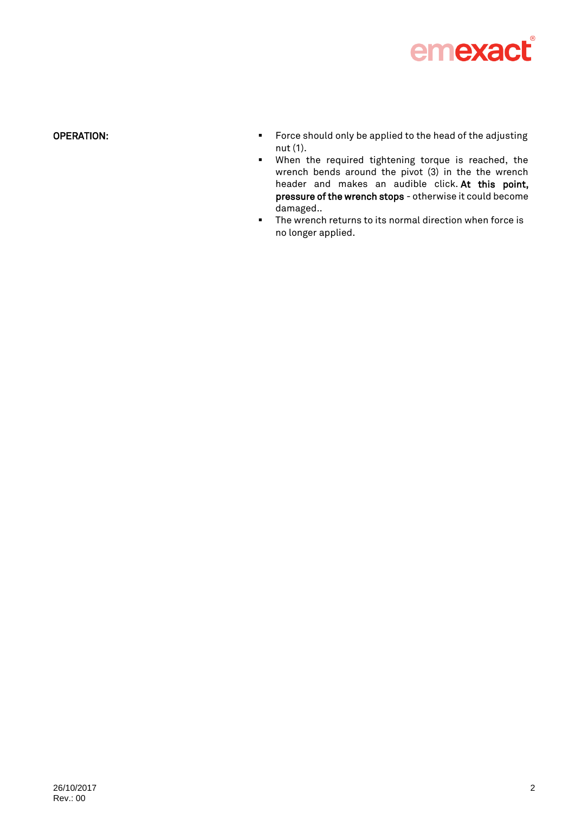

# OPERATION:

- **Force should only be applied to the head of the adjusting** nut (1).
- When the required tightening torque is reached, the wrench bends around the pivot (3) in the the wrench header and makes an audible click. At this point, pressure of the wrench stops - otherwise it could become damaged..
- The wrench returns to its normal direction when force is no longer applied.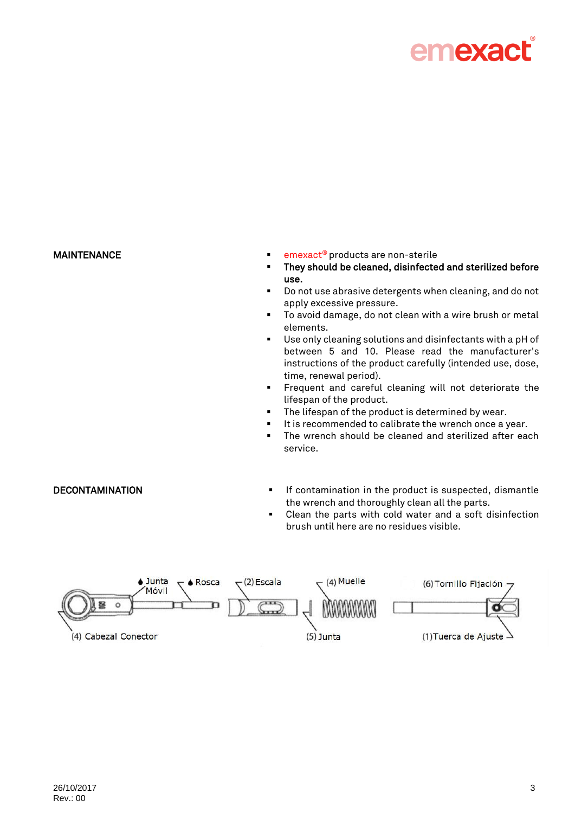

- MAINTENANCE **Example 20** and the settlement of the settlement of the emexact® products are non-sterile
	- They should be cleaned, disinfected and sterilized before use.
	- Do not use abrasive detergents when cleaning, and do not apply excessive pressure.
	- To avoid damage, do not clean with a wire brush or metal elements.
	- Use only cleaning solutions and disinfectants with a pH of between 5 and 10. Please read the manufacturer's instructions of the product carefully (intended use, dose, time, renewal period).
	- **Figure 1** Frequent and careful cleaning will not deteriorate the lifespan of the product.
	- The lifespan of the product is determined by wear.
	- It is recommended to calibrate the wrench once a year.
	- **F** The wrench should be cleaned and sterilized after each service.
- DECONTAMINATION **In the product is suspected, dismantle** If contamination in the product is suspected, dismantle the wrench and thoroughly clean all the parts.
	- Clean the parts with cold water and a soft disinfection brush until here are no residues visible.

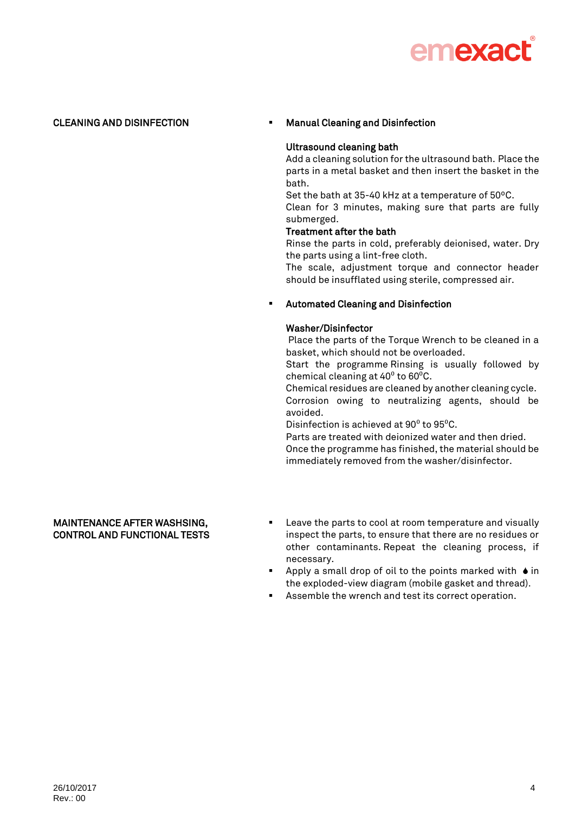

### CLEANING AND DISINFECTION **Manual Cleaning and Disinfection**

### Ultrasound cleaning bath

Add a cleaning solution for the ultrasound bath. Place the parts in a metal basket and then insert the basket in the bath.

Set the bath at 35-40 kHz at a temperature of 50ºC.

Clean for 3 minutes, making sure that parts are fully submerged.

### Treatment after the bath

Rinse the parts in cold, preferably deionised, water. Dry the parts using a lint-free cloth.

The scale, adjustment torque and connector header should be insufflated using sterile, compressed air.

### Automated Cleaning and Disinfection

### Washer/Disinfector

Place the parts of the Torque Wrench to be cleaned in a basket, which should not be overloaded.

Start the programme Rinsing is usually followed by chemical cleaning at  $40^{\circ}$  to  $60^{\circ}$ C.

Chemical residues are cleaned by another cleaning cycle. Corrosion owing to neutralizing agents, should be avoided.

Disinfection is achieved at  $90^{\circ}$  to  $95^{\circ}$ C.

Parts are treated with deionized water and then dried. Once the programme has finished, the material should be immediately removed from the washer/disinfector.

### MAINTENANCE AFTER WASHSING, CONTROL AND FUNCTIONAL TESTS

- Leave the parts to cool at room temperature and visually inspect the parts, to ensure that there are no residues or other contaminants. Repeat the cleaning process, if necessary.
- Apply a small drop of oil to the points marked with  $\bullet$  in the exploded-view diagram (mobile gasket and thread).
- Assemble the wrench and test its correct operation.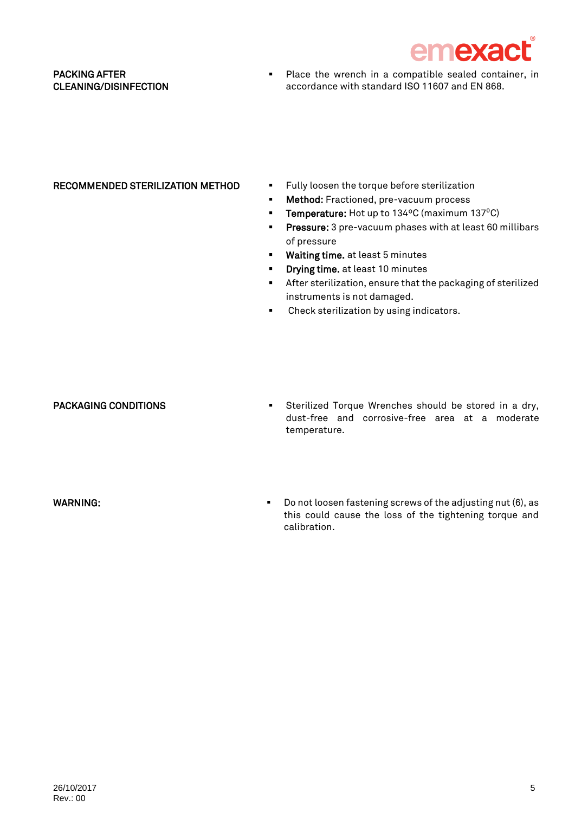

## PACKING AFTER CLEANING/DISINFECTION

**Place the wrench in a compatible sealed container, in** accordance with standard ISO 11607 and EN 868.

- RECOMMENDED STERILIZATION METHOD Fully loosen the torque before sterilization
	- **Method:** Fractioned, pre-vacuum process
	- **Temperature:** Hot up to  $134^{\circ}$ C (maximum  $137^{\circ}$ C)
	- **Pressure:** 3 pre-vacuum phases with at least 60 millibars of pressure
	- **Waiting time.** at least 5 minutes
	- **•** Drying time. at least 10 minutes
	- After sterilization, ensure that the packaging of sterilized instruments is not damaged.
	- **•** Check sterilization by using indicators.

PACKAGING CONDITIONS Sterilized Torque Wrenches should be stored in a dry, dust-free and corrosive-free area at a moderate temperature.

WARNING: WARNING: Do not loosen fastening screws of the adjusting nut (6), as this could cause the loss of the tightening torque and calibration.